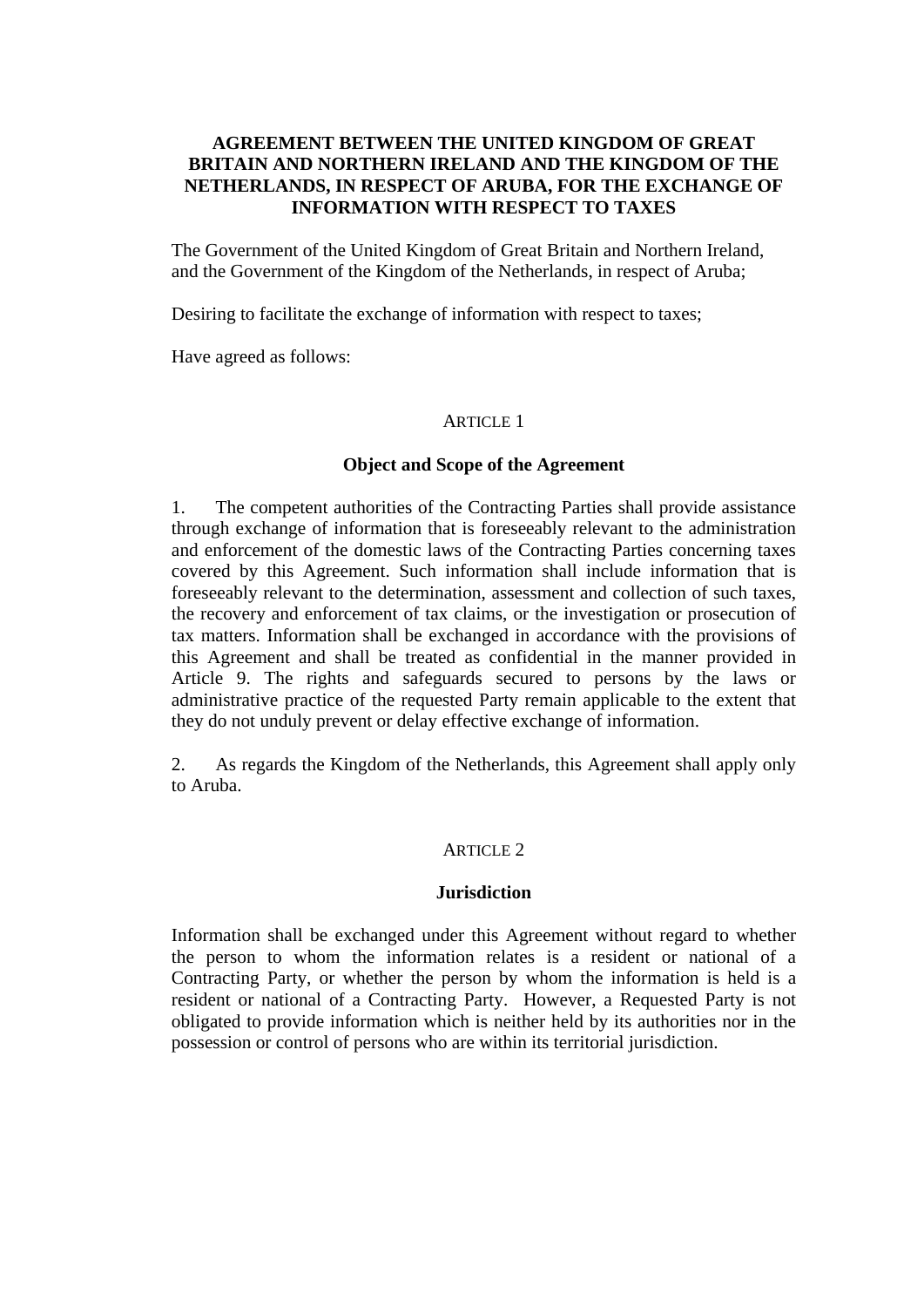## **AGREEMENT BETWEEN THE UNITED KINGDOM OF GREAT BRITAIN AND NORTHERN IRELAND AND THE KINGDOM OF THE NETHERLANDS, IN RESPECT OF ARUBA, FOR THE EXCHANGE OF INFORMATION WITH RESPECT TO TAXES**

The Government of the United Kingdom of Great Britain and Northern Ireland, and the Government of the Kingdom of the Netherlands, in respect of Aruba;

Desiring to facilitate the exchange of information with respect to taxes;

Have agreed as follows:

#### **ARTICLE 1**

#### **Object and Scope of the Agreement**

1. The competent authorities of the Contracting Parties shall provide assistance through exchange of information that is foreseeably relevant to the administration and enforcement of the domestic laws of the Contracting Parties concerning taxes covered by this Agreement. Such information shall include information that is foreseeably relevant to the determination, assessment and collection of such taxes, the recovery and enforcement of tax claims, or the investigation or prosecution of tax matters. Information shall be exchanged in accordance with the provisions of this Agreement and shall be treated as confidential in the manner provided in Article 9. The rights and safeguards secured to persons by the laws or administrative practice of the requested Party remain applicable to the extent that they do not unduly prevent or delay effective exchange of information.

2. As regards the Kingdom of the Netherlands, this Agreement shall apply only to Aruba.

## ARTICLE 2

#### **Jurisdiction**

Information shall be exchanged under this Agreement without regard to whether the person to whom the information relates is a resident or national of a Contracting Party, or whether the person by whom the information is held is a resident or national of a Contracting Party. However, a Requested Party is not obligated to provide information which is neither held by its authorities nor in the possession or control of persons who are within its territorial jurisdiction.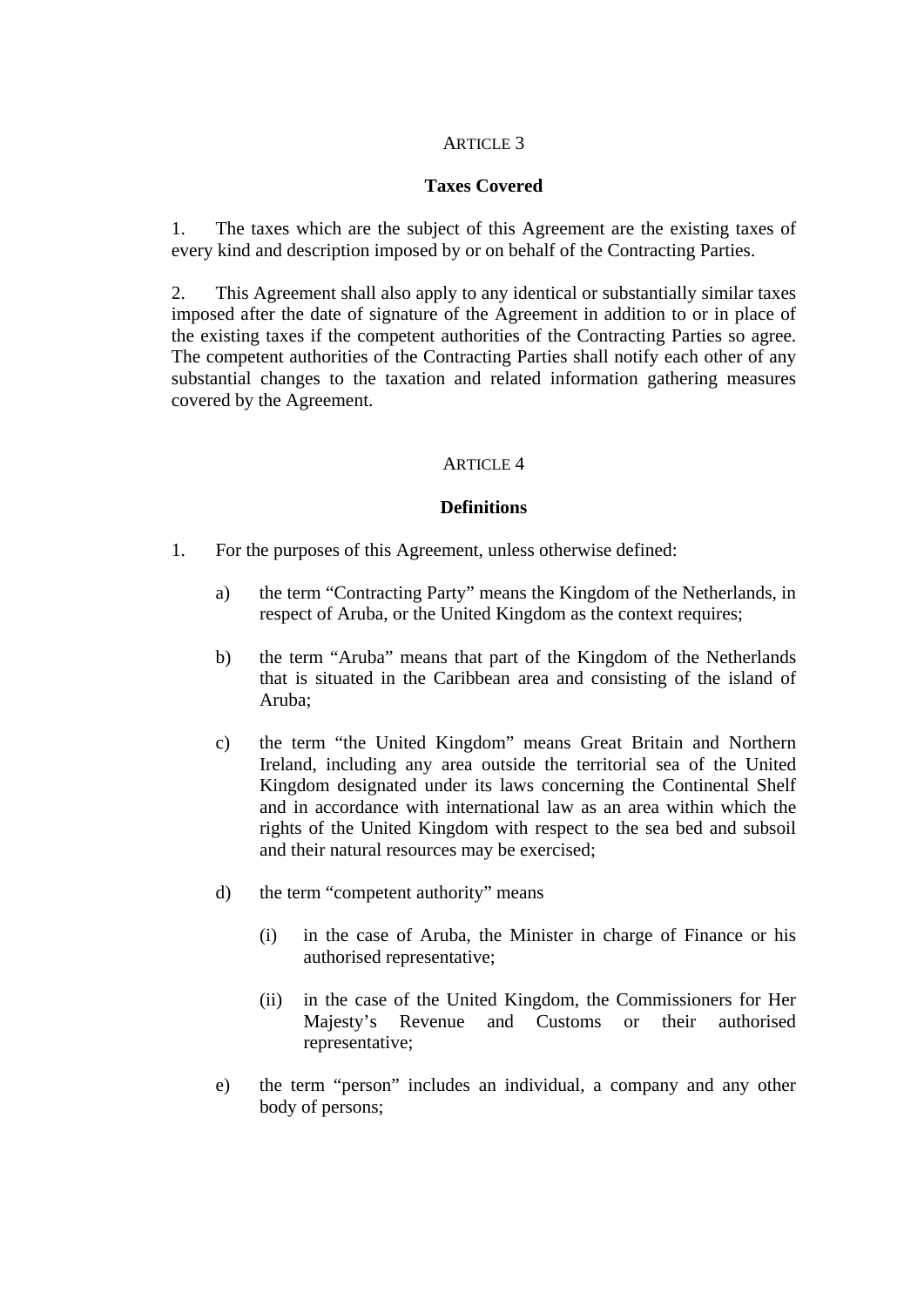## ARTICLE 3

## **Taxes Covered**

1. The taxes which are the subject of this Agreement are the existing taxes of every kind and description imposed by or on behalf of the Contracting Parties.

2. This Agreement shall also apply to any identical or substantially similar taxes imposed after the date of signature of the Agreement in addition to or in place of the existing taxes if the competent authorities of the Contracting Parties so agree. The competent authorities of the Contracting Parties shall notify each other of any substantial changes to the taxation and related information gathering measures covered by the Agreement.

#### ARTICLE 4

## **Definitions**

- 1. For the purposes of this Agreement, unless otherwise defined:
	- a) the term "Contracting Party" means the Kingdom of the Netherlands, in respect of Aruba, or the United Kingdom as the context requires;
	- b) the term "Aruba" means that part of the Kingdom of the Netherlands that is situated in the Caribbean area and consisting of the island of Aruba;
	- c) the term "the United Kingdom" means Great Britain and Northern Ireland, including any area outside the territorial sea of the United Kingdom designated under its laws concerning the Continental Shelf and in accordance with international law as an area within which the rights of the United Kingdom with respect to the sea bed and subsoil and their natural resources may be exercised;
	- d) the term "competent authority" means
		- (i) in the case of Aruba, the Minister in charge of Finance or his authorised representative;
		- (ii) in the case of the United Kingdom, the Commissioners for Her Majesty's Revenue and Customs or their authorised representative;
	- e) the term "person" includes an individual, a company and any other body of persons;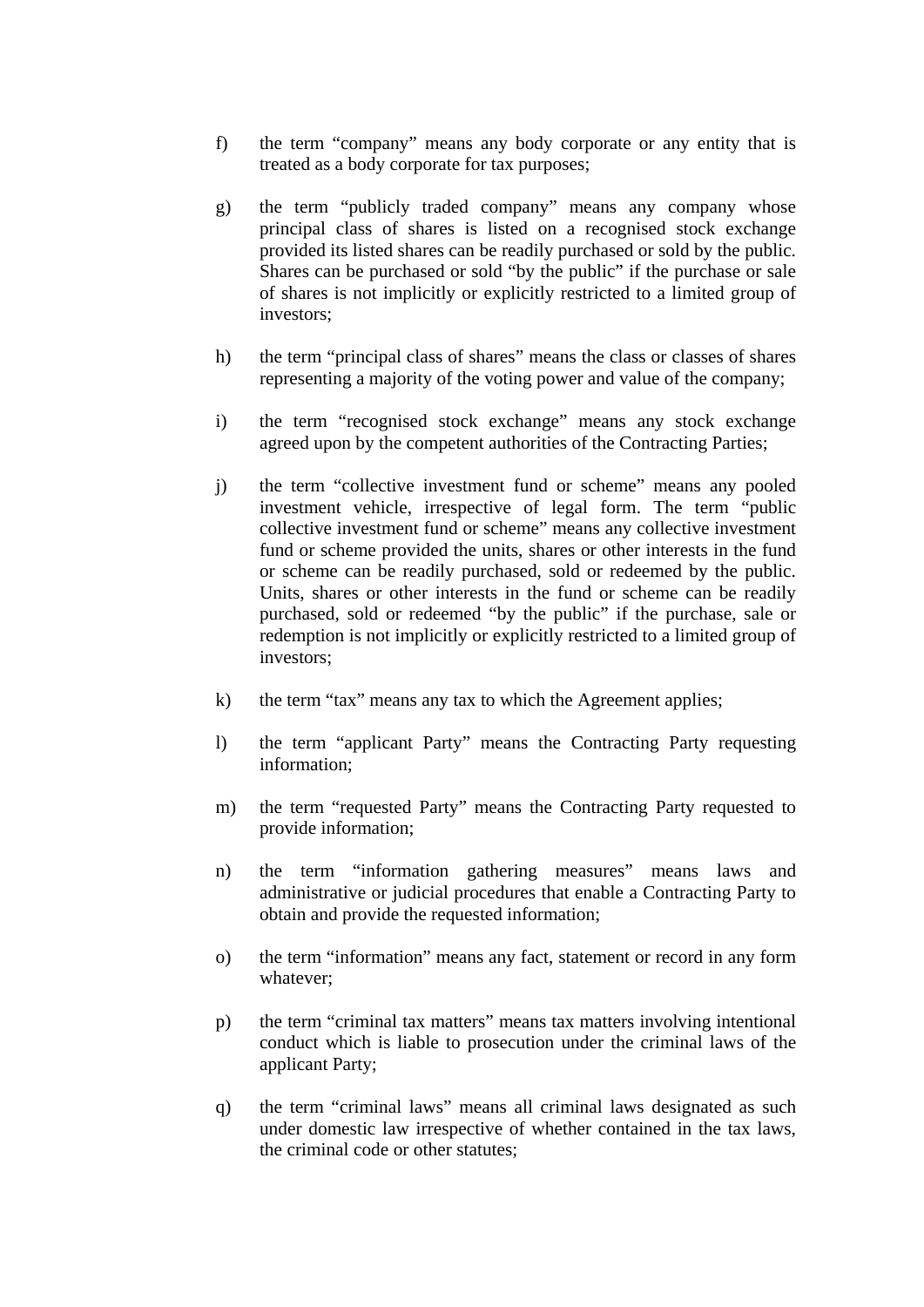- f) the term "company" means any body corporate or any entity that is treated as a body corporate for tax purposes;
- g) the term "publicly traded company" means any company whose principal class of shares is listed on a recognised stock exchange provided its listed shares can be readily purchased or sold by the public. Shares can be purchased or sold "by the public" if the purchase or sale of shares is not implicitly or explicitly restricted to a limited group of investors;
- h) the term "principal class of shares" means the class or classes of shares representing a majority of the voting power and value of the company;
- i) the term "recognised stock exchange" means any stock exchange agreed upon by the competent authorities of the Contracting Parties;
- j) the term "collective investment fund or scheme" means any pooled investment vehicle, irrespective of legal form. The term "public collective investment fund or scheme" means any collective investment fund or scheme provided the units, shares or other interests in the fund or scheme can be readily purchased, sold or redeemed by the public. Units, shares or other interests in the fund or scheme can be readily purchased, sold or redeemed "by the public" if the purchase, sale or redemption is not implicitly or explicitly restricted to a limited group of investors;
- k) the term "tax" means any tax to which the Agreement applies;
- l) the term "applicant Party" means the Contracting Party requesting information;
- m) the term "requested Party" means the Contracting Party requested to provide information;
- n) the term "information gathering measures" means laws and administrative or judicial procedures that enable a Contracting Party to obtain and provide the requested information;
- o) the term "information" means any fact, statement or record in any form whatever;
- p) the term "criminal tax matters" means tax matters involving intentional conduct which is liable to prosecution under the criminal laws of the applicant Party;
- q) the term "criminal laws" means all criminal laws designated as such under domestic law irrespective of whether contained in the tax laws, the criminal code or other statutes;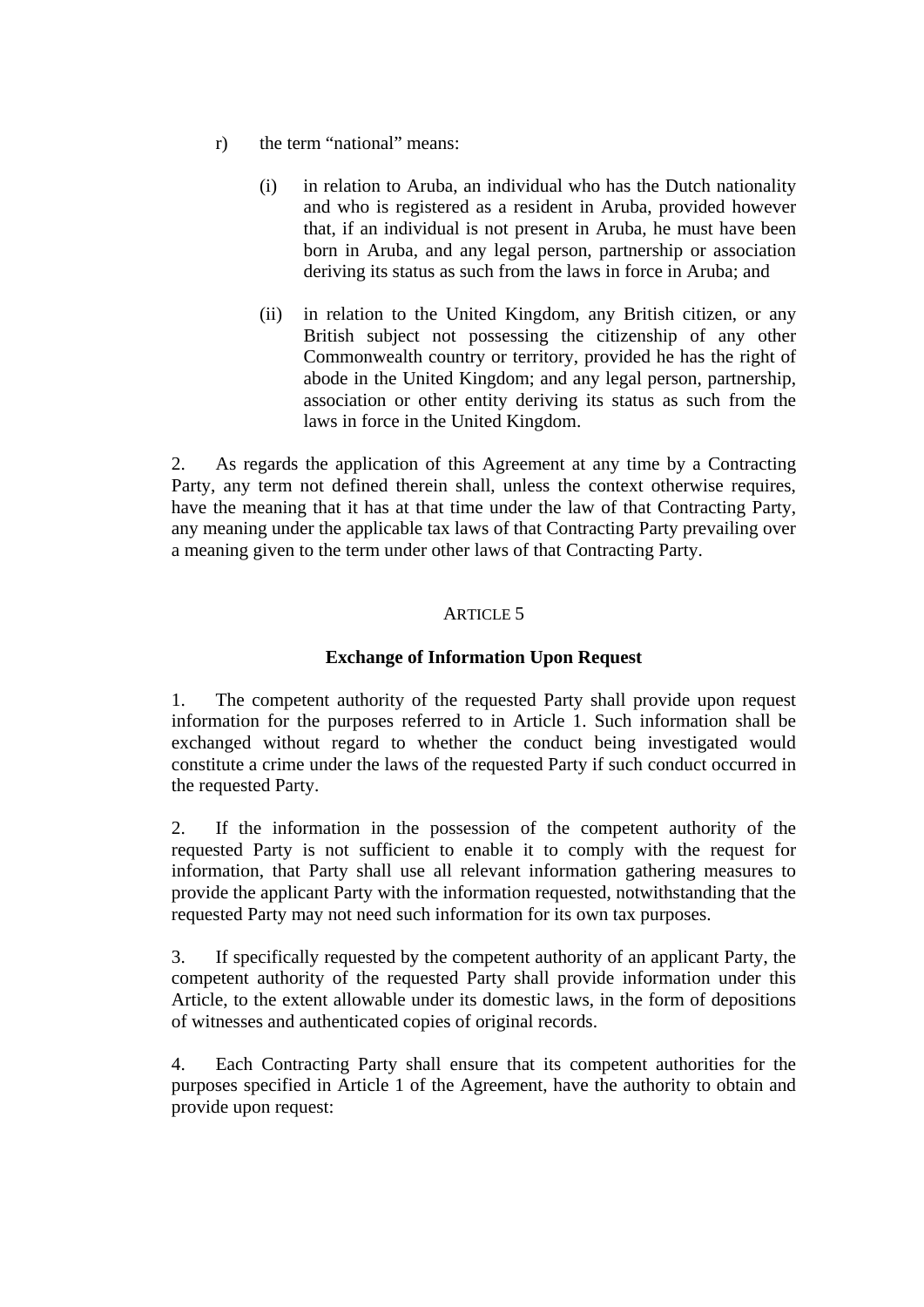- r) the term "national" means:
	- (i) in relation to Aruba, an individual who has the Dutch nationality and who is registered as a resident in Aruba, provided however that, if an individual is not present in Aruba, he must have been born in Aruba, and any legal person, partnership or association deriving its status as such from the laws in force in Aruba; and
	- (ii) in relation to the United Kingdom, any British citizen, or any British subject not possessing the citizenship of any other Commonwealth country or territory, provided he has the right of abode in the United Kingdom; and any legal person, partnership, association or other entity deriving its status as such from the laws in force in the United Kingdom.

2. As regards the application of this Agreement at any time by a Contracting Party, any term not defined therein shall, unless the context otherwise requires, have the meaning that it has at that time under the law of that Contracting Party, any meaning under the applicable tax laws of that Contracting Party prevailing over a meaning given to the term under other laws of that Contracting Party.

## ARTICLE 5

## **Exchange of Information Upon Request**

1. The competent authority of the requested Party shall provide upon request information for the purposes referred to in Article 1. Such information shall be exchanged without regard to whether the conduct being investigated would constitute a crime under the laws of the requested Party if such conduct occurred in the requested Party.

2. If the information in the possession of the competent authority of the requested Party is not sufficient to enable it to comply with the request for information, that Party shall use all relevant information gathering measures to provide the applicant Party with the information requested, notwithstanding that the requested Party may not need such information for its own tax purposes.

3. If specifically requested by the competent authority of an applicant Party, the competent authority of the requested Party shall provide information under this Article, to the extent allowable under its domestic laws, in the form of depositions of witnesses and authenticated copies of original records.

4. Each Contracting Party shall ensure that its competent authorities for the purposes specified in Article 1 of the Agreement, have the authority to obtain and provide upon request: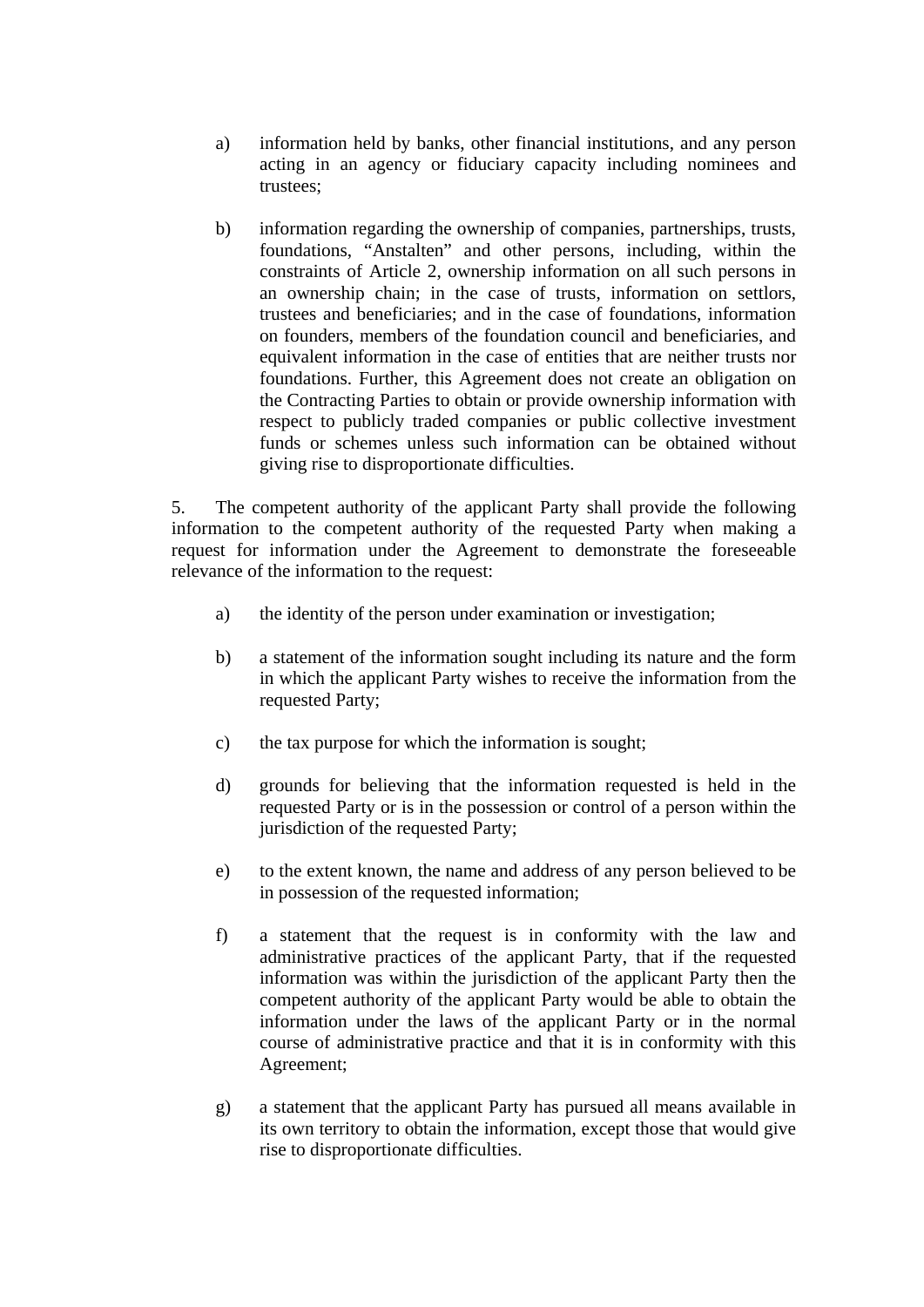- a) information held by banks, other financial institutions, and any person acting in an agency or fiduciary capacity including nominees and trustees;
- b) information regarding the ownership of companies, partnerships, trusts, foundations, "Anstalten" and other persons, including, within the constraints of Article 2, ownership information on all such persons in an ownership chain; in the case of trusts, information on settlors, trustees and beneficiaries; and in the case of foundations, information on founders, members of the foundation council and beneficiaries, and equivalent information in the case of entities that are neither trusts nor foundations. Further, this Agreement does not create an obligation on the Contracting Parties to obtain or provide ownership information with respect to publicly traded companies or public collective investment funds or schemes unless such information can be obtained without giving rise to disproportionate difficulties.

5. The competent authority of the applicant Party shall provide the following information to the competent authority of the requested Party when making a request for information under the Agreement to demonstrate the foreseeable relevance of the information to the request:

- a) the identity of the person under examination or investigation;
- b) a statement of the information sought including its nature and the form in which the applicant Party wishes to receive the information from the requested Party;
- c) the tax purpose for which the information is sought;
- d) grounds for believing that the information requested is held in the requested Party or is in the possession or control of a person within the jurisdiction of the requested Party;
- e) to the extent known, the name and address of any person believed to be in possession of the requested information;
- f) a statement that the request is in conformity with the law and administrative practices of the applicant Party, that if the requested information was within the jurisdiction of the applicant Party then the competent authority of the applicant Party would be able to obtain the information under the laws of the applicant Party or in the normal course of administrative practice and that it is in conformity with this Agreement;
- g) a statement that the applicant Party has pursued all means available in its own territory to obtain the information, except those that would give rise to disproportionate difficulties.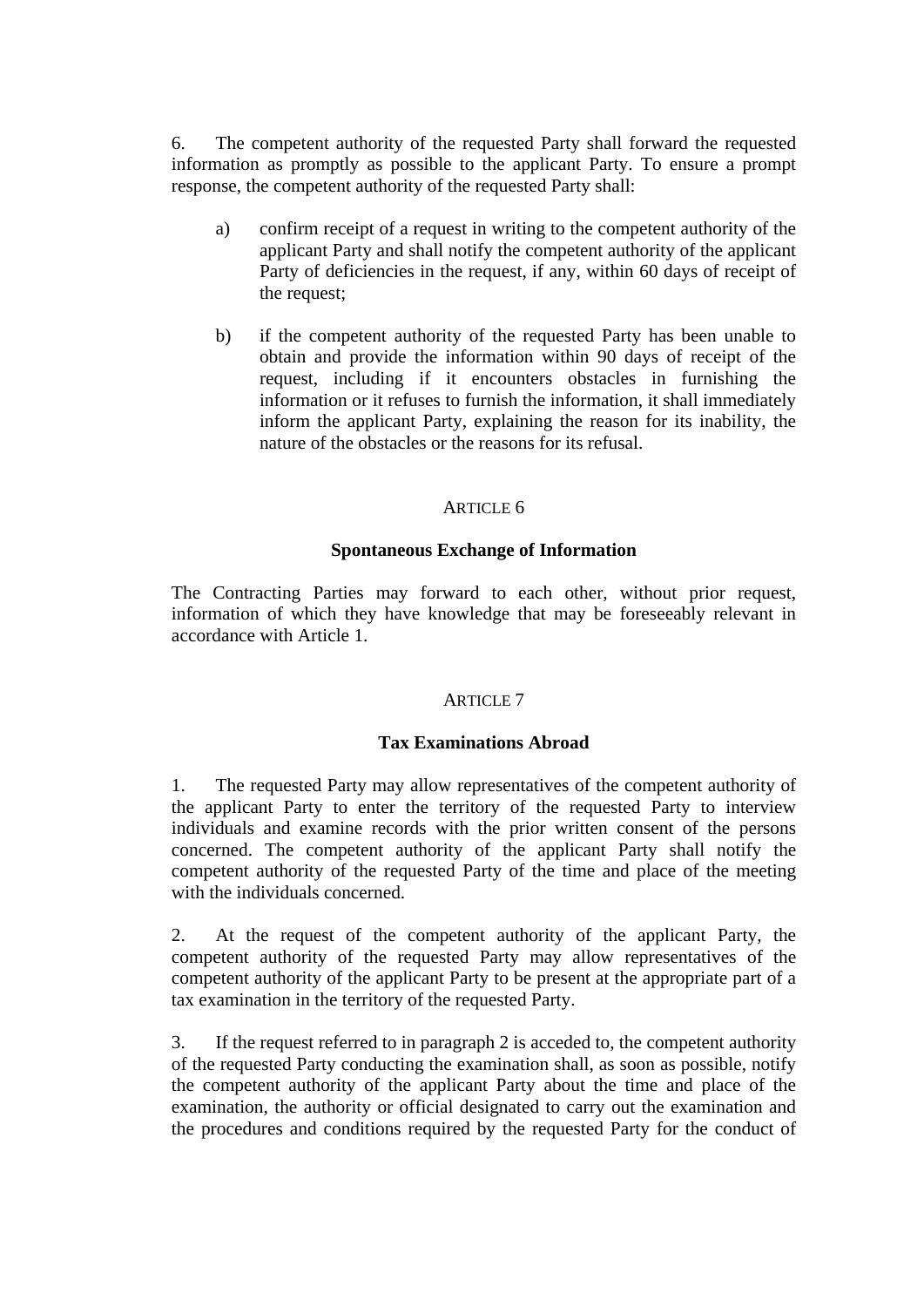6. The competent authority of the requested Party shall forward the requested information as promptly as possible to the applicant Party. To ensure a prompt response, the competent authority of the requested Party shall:

- a) confirm receipt of a request in writing to the competent authority of the applicant Party and shall notify the competent authority of the applicant Party of deficiencies in the request, if any, within 60 days of receipt of the request;
- b) if the competent authority of the requested Party has been unable to obtain and provide the information within 90 days of receipt of the request, including if it encounters obstacles in furnishing the information or it refuses to furnish the information, it shall immediately inform the applicant Party, explaining the reason for its inability, the nature of the obstacles or the reasons for its refusal.

## ARTICLE 6

## **Spontaneous Exchange of Information**

The Contracting Parties may forward to each other, without prior request, information of which they have knowledge that may be foreseeably relevant in accordance with Article 1.

## ARTICLE 7

## **Tax Examinations Abroad**

1. The requested Party may allow representatives of the competent authority of the applicant Party to enter the territory of the requested Party to interview individuals and examine records with the prior written consent of the persons concerned. The competent authority of the applicant Party shall notify the competent authority of the requested Party of the time and place of the meeting with the individuals concerned.

2. At the request of the competent authority of the applicant Party, the competent authority of the requested Party may allow representatives of the competent authority of the applicant Party to be present at the appropriate part of a tax examination in the territory of the requested Party.

3. If the request referred to in paragraph 2 is acceded to, the competent authority of the requested Party conducting the examination shall, as soon as possible, notify the competent authority of the applicant Party about the time and place of the examination, the authority or official designated to carry out the examination and the procedures and conditions required by the requested Party for the conduct of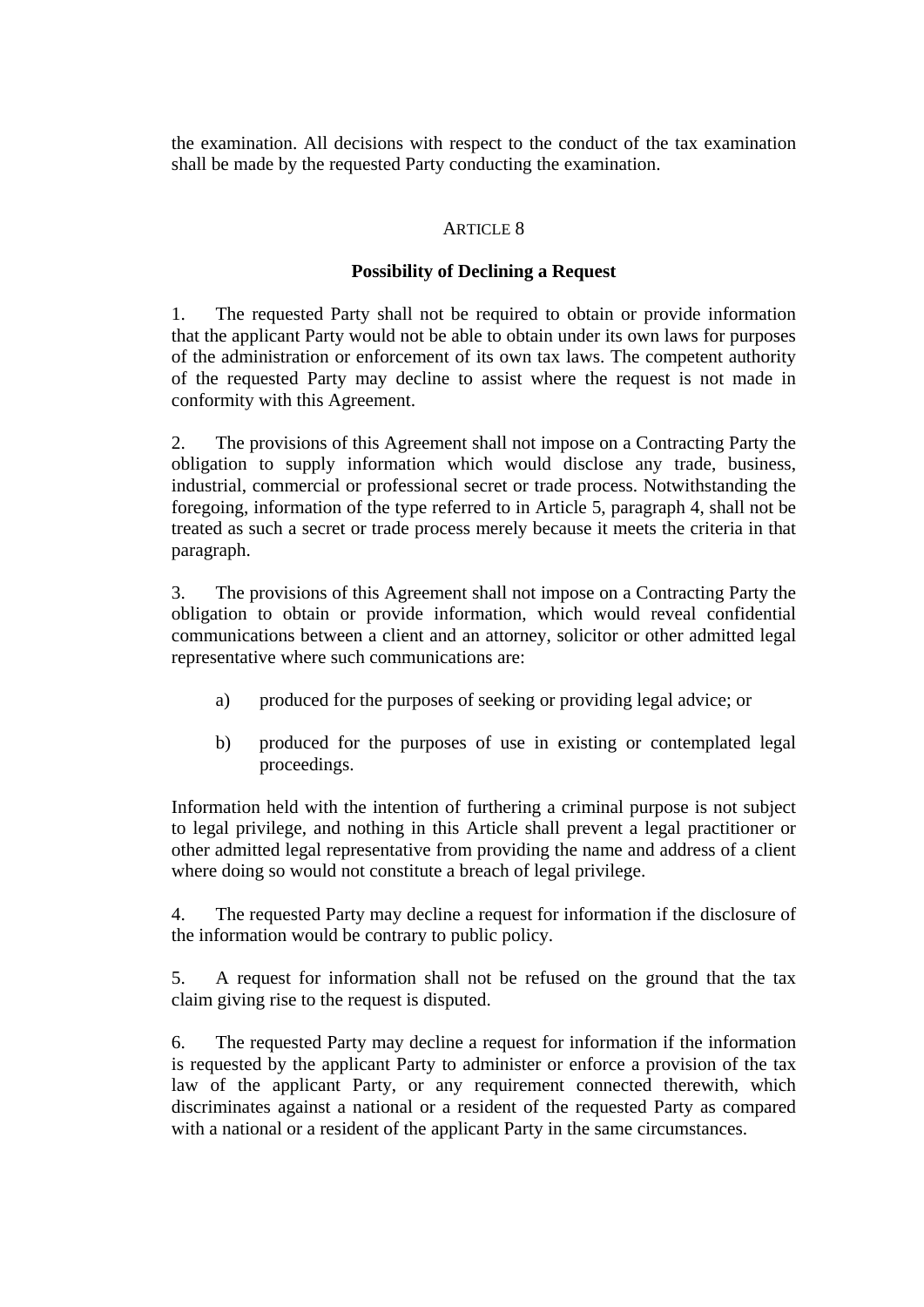the examination. All decisions with respect to the conduct of the tax examination shall be made by the requested Party conducting the examination.

## ARTICLE 8

## **Possibility of Declining a Request**

1. The requested Party shall not be required to obtain or provide information that the applicant Party would not be able to obtain under its own laws for purposes of the administration or enforcement of its own tax laws. The competent authority of the requested Party may decline to assist where the request is not made in conformity with this Agreement.

2. The provisions of this Agreement shall not impose on a Contracting Party the obligation to supply information which would disclose any trade, business, industrial, commercial or professional secret or trade process. Notwithstanding the foregoing, information of the type referred to in Article 5, paragraph 4, shall not be treated as such a secret or trade process merely because it meets the criteria in that paragraph.

3. The provisions of this Agreement shall not impose on a Contracting Party the obligation to obtain or provide information, which would reveal confidential communications between a client and an attorney, solicitor or other admitted legal representative where such communications are:

- a) produced for the purposes of seeking or providing legal advice; or
- b) produced for the purposes of use in existing or contemplated legal proceedings.

Information held with the intention of furthering a criminal purpose is not subject to legal privilege, and nothing in this Article shall prevent a legal practitioner or other admitted legal representative from providing the name and address of a client where doing so would not constitute a breach of legal privilege.

4. The requested Party may decline a request for information if the disclosure of the information would be contrary to public policy.

5. A request for information shall not be refused on the ground that the tax claim giving rise to the request is disputed.

6. The requested Party may decline a request for information if the information is requested by the applicant Party to administer or enforce a provision of the tax law of the applicant Party, or any requirement connected therewith, which discriminates against a national or a resident of the requested Party as compared with a national or a resident of the applicant Party in the same circumstances.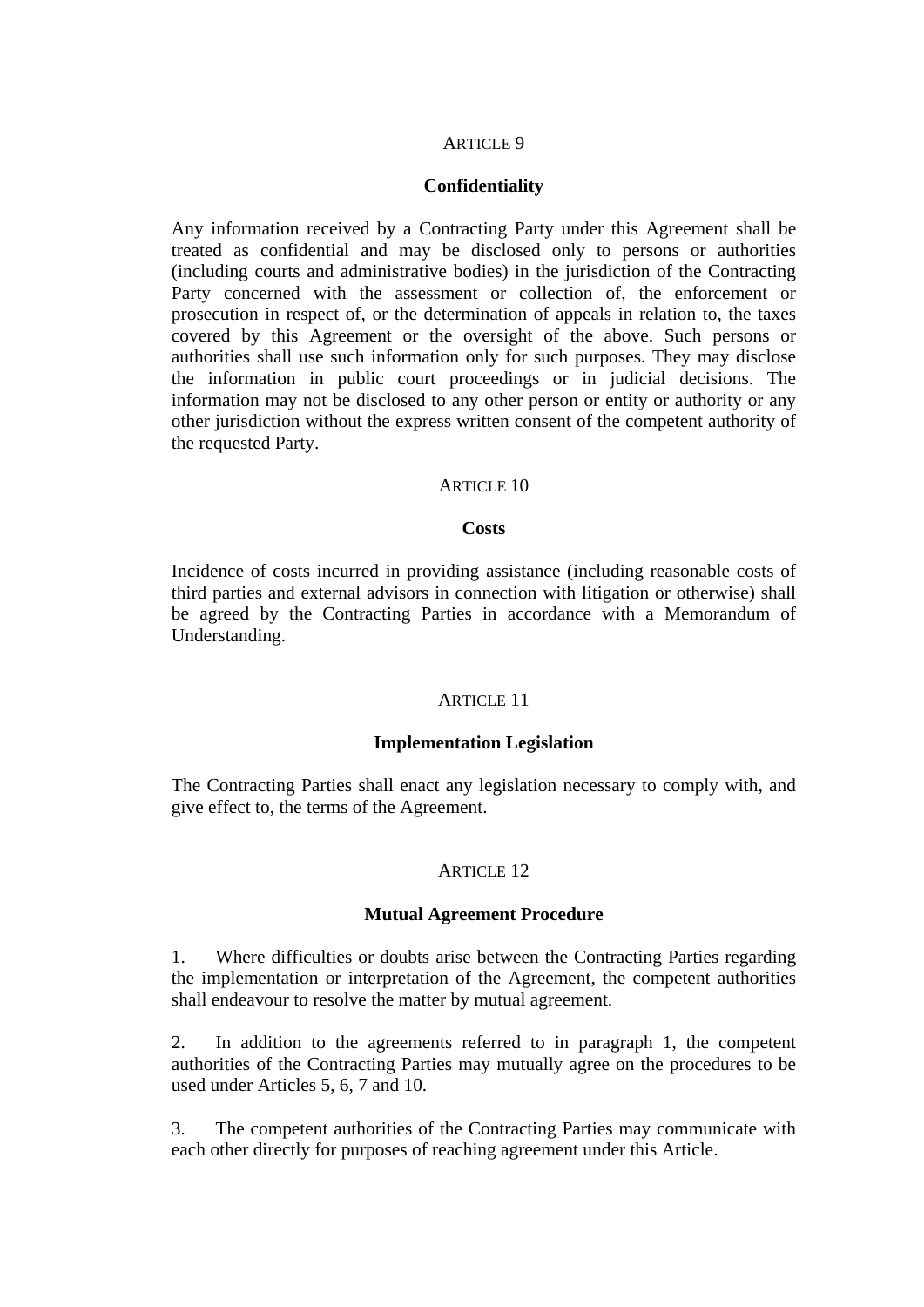#### ARTICLE 9

#### **Confidentiality**

Any information received by a Contracting Party under this Agreement shall be treated as confidential and may be disclosed only to persons or authorities (including courts and administrative bodies) in the jurisdiction of the Contracting Party concerned with the assessment or collection of, the enforcement or prosecution in respect of, or the determination of appeals in relation to, the taxes covered by this Agreement or the oversight of the above. Such persons or authorities shall use such information only for such purposes. They may disclose the information in public court proceedings or in judicial decisions. The information may not be disclosed to any other person or entity or authority or any other jurisdiction without the express written consent of the competent authority of the requested Party.

#### ARTICLE 10

#### **Costs**

Incidence of costs incurred in providing assistance (including reasonable costs of third parties and external advisors in connection with litigation or otherwise) shall be agreed by the Contracting Parties in accordance with a Memorandum of Understanding.

#### ARTICLE 11

#### **Implementation Legislation**

The Contracting Parties shall enact any legislation necessary to comply with, and give effect to, the terms of the Agreement.

#### ARTICLE 12

#### **Mutual Agreement Procedure**

1. Where difficulties or doubts arise between the Contracting Parties regarding the implementation or interpretation of the Agreement, the competent authorities shall endeavour to resolve the matter by mutual agreement.

2. In addition to the agreements referred to in paragraph 1, the competent authorities of the Contracting Parties may mutually agree on the procedures to be used under Articles 5, 6, 7 and 10.

3. The competent authorities of the Contracting Parties may communicate with each other directly for purposes of reaching agreement under this Article.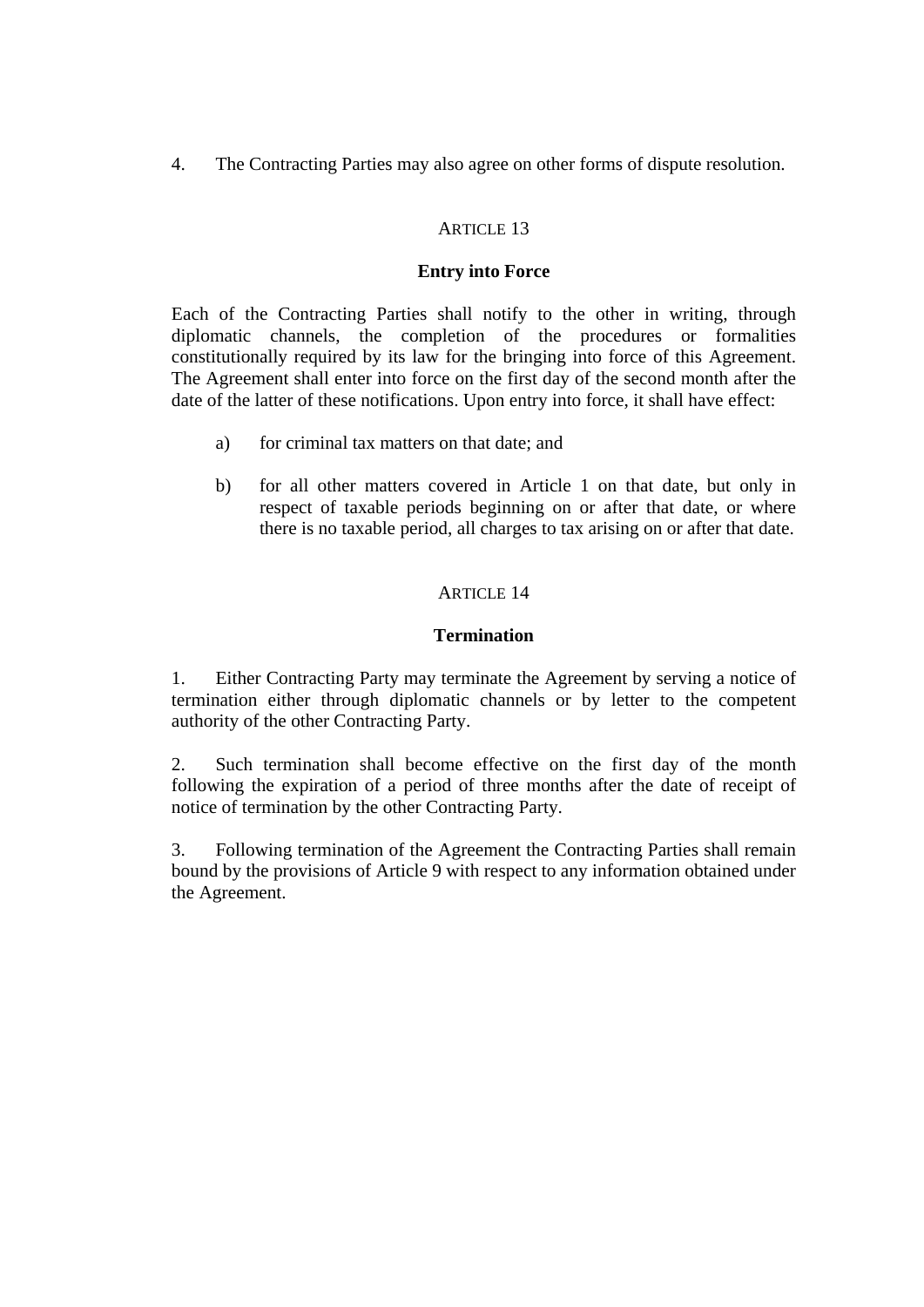4. The Contracting Parties may also agree on other forms of dispute resolution.

## ARTICLE 13

#### **Entry into Force**

Each of the Contracting Parties shall notify to the other in writing, through diplomatic channels, the completion of the procedures or formalities constitutionally required by its law for the bringing into force of this Agreement. The Agreement shall enter into force on the first day of the second month after the date of the latter of these notifications. Upon entry into force, it shall have effect:

- a) for criminal tax matters on that date; and
- b) for all other matters covered in Article 1 on that date, but only in respect of taxable periods beginning on or after that date, or where there is no taxable period, all charges to tax arising on or after that date.

## ARTICLE 14

## **Termination**

1. Either Contracting Party may terminate the Agreement by serving a notice of termination either through diplomatic channels or by letter to the competent authority of the other Contracting Party.

2. Such termination shall become effective on the first day of the month following the expiration of a period of three months after the date of receipt of notice of termination by the other Contracting Party.

3. Following termination of the Agreement the Contracting Parties shall remain bound by the provisions of Article 9 with respect to any information obtained under the Agreement.